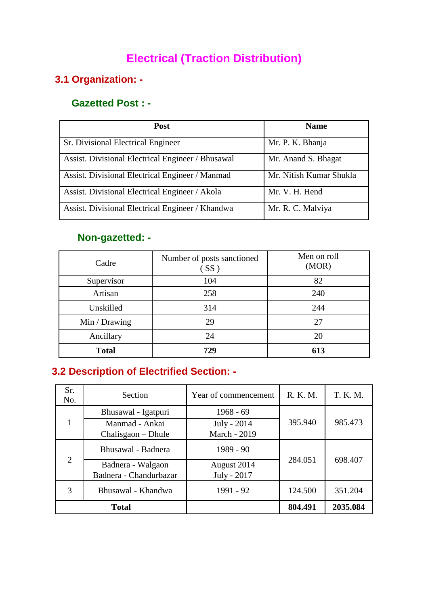## **Electrical (Traction Distribution)**

### **3.1 Organization: -**

#### **Gazetted Post : -**

| <b>Post</b>                                       | <b>Name</b>             |
|---------------------------------------------------|-------------------------|
| Sr. Divisional Electrical Engineer                | Mr. P. K. Bhanja        |
| Assist. Divisional Electrical Engineer / Bhusawal | Mr. Anand S. Bhagat     |
| Assist. Divisional Electrical Engineer / Manmad   | Mr. Nitish Kumar Shukla |
| Assist. Divisional Electrical Engineer / Akola    | Mr. V. H. Hend          |
| Assist. Divisional Electrical Engineer / Khandwa  | Mr. R. C. Malviya       |

#### **Non-gazetted: -**

| Cadre         | Number of posts sanctioned<br>(SS) | Men on roll<br>(MOR) |
|---------------|------------------------------------|----------------------|
| Supervisor    | 104                                | 82                   |
| Artisan       | 258                                | 240                  |
| Unskilled     | 314                                | 244                  |
| Min / Drawing | 29                                 | 27                   |
| Ancillary     | 24                                 | 20                   |
| <b>Total</b>  | 729                                | 613                  |

## **3.2 Description of Electrified Section: -**

| Sr.<br>No.              | Section                | Year of commencement | R. K. M. | T. K. M. |  |
|-------------------------|------------------------|----------------------|----------|----------|--|
|                         | Bhusawal - Igatpuri    | $1968 - 69$          |          |          |  |
|                         | Manmad - Ankai         | July - 2014          | 395.940  | 985.473  |  |
|                         | Chalisgaon – Dhule     | March - 2019         |          |          |  |
|                         | Bhusawal - Badnera     | 1989 - 90            |          | 698.407  |  |
| $\overline{2}$          | Badnera - Walgaon      | August 2014          | 284.051  |          |  |
|                         | Badnera - Chandurbazar | July - 2017          |          |          |  |
| 3<br>Bhusawal - Khandwa |                        | 1991 - 92            | 124.500  | 351.204  |  |
| <b>Total</b>            |                        |                      | 804.491  | 2035.084 |  |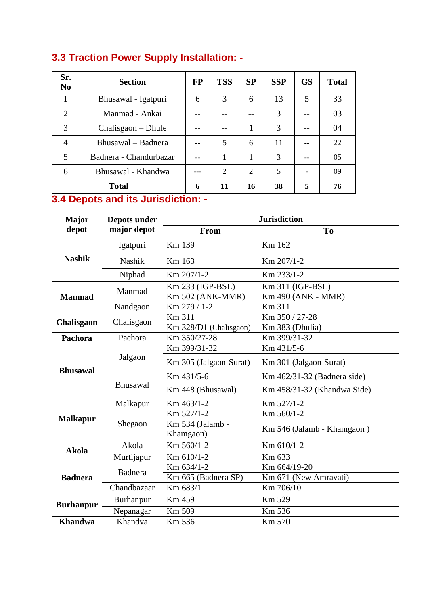| Sr.<br>N <sub>0</sub>   | <b>Section</b>         | <b>FP</b> | <b>TSS</b>     | SP | <b>SSP</b> | <b>GS</b> | <b>Total</b> |
|-------------------------|------------------------|-----------|----------------|----|------------|-----------|--------------|
| 1                       | Bhusawal - Igatpuri    | 6         | 3              | 6  | 13         | 5         | 33           |
| $\overline{2}$          | Manmad - Ankai         |           |                |    | 3          |           | 03           |
| 3                       | Chalisgaon – Dhule     |           |                |    | 3          |           | 04           |
| $\overline{4}$          | Bhusawal – Badnera     | --        | 5              | 6  | 11         |           | 22           |
| 5                       | Badnera - Chandurbazar | --        |                | 1  | 3          | --        | 05           |
| 6<br>Bhusawal - Khandwa |                        |           | $\overline{2}$ | 2  | 5          |           | 09           |
|                         | <b>Total</b>           | 6         | 11             | 16 | 38         | 5         | 76           |

## **3.3 Traction Power Supply Installation: -**

#### **3.4 Depots and its Jurisdiction: -**

| Major             | Depots under  | <b>Jurisdiction</b>                  |                                        |  |  |
|-------------------|---------------|--------------------------------------|----------------------------------------|--|--|
| depot             | major depot   | <b>From</b>                          | To                                     |  |  |
|                   | Igatpuri      | Km 139                               | Km 162                                 |  |  |
| <b>Nashik</b>     | <b>Nashik</b> | Km 163                               | Km 207/1-2                             |  |  |
|                   | Niphad        | Km 207/1-2                           | Km 233/1-2                             |  |  |
| <b>Manmad</b>     | Manmad        | Km 233 (IGP-BSL)<br>Km 502 (ANK-MMR) | Km 311 (IGP-BSL)<br>Km 490 (ANK - MMR) |  |  |
|                   | Nandgaon      | Km 279 / 1-2                         | Km 311                                 |  |  |
| <b>Chalisgaon</b> | Chalisgaon    | Km 311                               | Km 350 / 27-28                         |  |  |
|                   |               | Km 328/D1 (Chalisgaon)               | Km 383 (Dhulia)                        |  |  |
| Pachora           | Pachora       | Km 350/27-28                         | Km 399/31-32                           |  |  |
|                   | Jalgaon       | Km 399/31-32                         | Km 431/5-6                             |  |  |
| <b>Bhusawal</b>   |               | Km 305 (Jalgaon-Surat)               | Km 301 (Jalgaon-Surat)                 |  |  |
|                   | Bhusawal      | Km 431/5-6                           | Km 462/31-32 (Badnera side)            |  |  |
|                   |               | Km 448 (Bhusawal)                    | Km 458/31-32 (Khandwa Side)            |  |  |
|                   | Malkapur      | Km 463/1-2                           | Km 527/1-2                             |  |  |
|                   |               | Km 527/1-2                           | Km 560/1-2                             |  |  |
| <b>Malkapur</b>   | Shegaon       | Km 534 (Jalamb -<br>Khamgaon)        | Km 546 (Jalamb - Khamgaon)             |  |  |
| <b>Akola</b>      | Akola         | Km 560/1-2                           | Km 610/1-2                             |  |  |
|                   | Murtijapur    | Km 610/1-2                           | Km 633                                 |  |  |
|                   |               | Km 634/1-2                           | Km 664/19-20                           |  |  |
| <b>Badnera</b>    | Badnera       | Km 665 (Badnera SP)                  | Km 671 (New Amravati)                  |  |  |
|                   | Chandbazaar   | Km 683/1                             | Km 706/10                              |  |  |
| <b>Burhanpur</b>  | Burhanpur     | Km 459                               | Km 529                                 |  |  |
|                   | Nepanagar     | Km 509                               | Km 536                                 |  |  |
| <b>Khandwa</b>    | Khandva       | Km 536                               | Km 570                                 |  |  |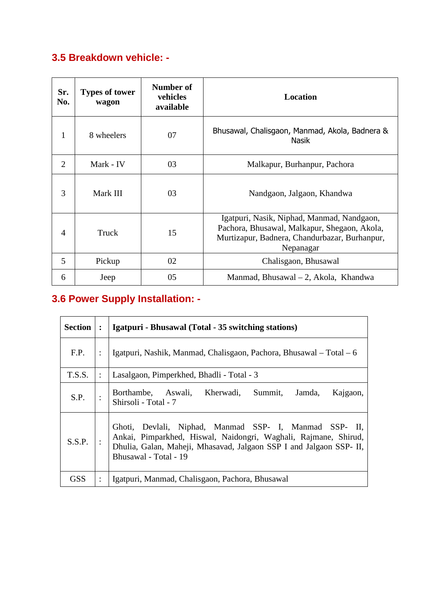## **3.5 Breakdown vehicle: -**

| Sr.<br>No.     | <b>Types of tower</b><br>wagon | Number of<br>vehicles<br>available | <b>Location</b>                                                                                                                                          |  |  |
|----------------|--------------------------------|------------------------------------|----------------------------------------------------------------------------------------------------------------------------------------------------------|--|--|
| 1              | 8 wheelers                     | 07                                 | Bhusawal, Chalisgaon, Manmad, Akola, Badnera &<br><b>Nasik</b>                                                                                           |  |  |
| $\overline{2}$ | 03<br>Mark - IV                |                                    | Malkapur, Burhanpur, Pachora                                                                                                                             |  |  |
| 3              | Mark III                       | 03                                 | Nandgaon, Jalgaon, Khandwa                                                                                                                               |  |  |
| $\overline{4}$ | Truck                          | 15                                 | Igatpuri, Nasik, Niphad, Manmad, Nandgaon,<br>Pachora, Bhusawal, Malkapur, Shegaon, Akola,<br>Murtizapur, Badnera, Chandurbazar, Burhanpur,<br>Nepanagar |  |  |
| 5              | Pickup                         | 02                                 | Chalisgaon, Bhusawal                                                                                                                                     |  |  |
| 6              | Jeep                           | 05                                 | Manmad, Bhusawal $-2$ , Akola, Khandwa                                                                                                                   |  |  |

# **3.6 Power Supply Installation: -**

| <b>Section</b> | $\ddot{\cdot}$ | Igatpuri - Bhusawal (Total - 35 switching stations)                                                                                                                                                                       |  |  |  |  |  |  |  |
|----------------|----------------|---------------------------------------------------------------------------------------------------------------------------------------------------------------------------------------------------------------------------|--|--|--|--|--|--|--|
| F.P.           |                | Igatpuri, Nashik, Manmad, Chalisgaon, Pachora, Bhusawal – Total – 6                                                                                                                                                       |  |  |  |  |  |  |  |
| T.S.S.         |                | Lasalgaon, Pimperkhed, Bhadli - Total - 3                                                                                                                                                                                 |  |  |  |  |  |  |  |
| S.P.           |                | Borthambe, Aswali, Kherwadi, Summit, Jamda,<br>Kajgaon,<br>Shirsoli - Total - 7                                                                                                                                           |  |  |  |  |  |  |  |
| S.S.P.         |                | Ghoti, Devlali, Niphad, Manmad SSP- I, Manmad SSP- II,<br>Ankai, Pimparkhed, Hiswal, Naidongri, Waghali, Rajmane, Shirud,<br>Dhulia, Galan, Maheji, Mhasavad, Jalgaon SSP I and Jalgaon SSP- II,<br>Bhusawal - Total - 19 |  |  |  |  |  |  |  |
| GSS            | ٠              | Igatpuri, Manmad, Chalisgaon, Pachora, Bhusawal                                                                                                                                                                           |  |  |  |  |  |  |  |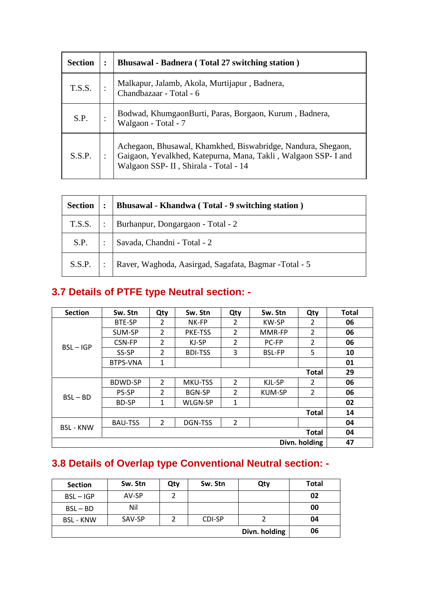| <b>Section</b> | <b>Bhusawal - Badnera (Total 27 switching station)</b>                                                                                                                  |
|----------------|-------------------------------------------------------------------------------------------------------------------------------------------------------------------------|
| T.S.S.         | Malkapur, Jalamb, Akola, Murtijapur, Badnera, Chandbazaar - Total - 6                                                                                                   |
| S.P.           | Bodwad, KhumgaonBurti, Paras, Borgaon, Kurum, Badnera,<br>Walgaon - Total - 7                                                                                           |
| S.S.P.         | Achegaon, Bhusawal, Khamkhed, Biswabridge, Nandura, Shegaon,<br>Gaigaon, Yevalkhed, Katepurna, Mana, Takli, Walgaon SSP- I and<br>Walgaon SSP- II, Shirala - Total - 14 |

| <b>Section</b> | $\ddot{\cdot}$ | Bhusawal - Khandwa (Total - 9 switching station)      |
|----------------|----------------|-------------------------------------------------------|
| T.S.S.         |                | Burhanpur, Dongargaon - Total - 2                     |
| S.P.           |                | Savada, Chandni - Total - 2                           |
| S.S.P.         |                | Raver, Waghoda, Aasirgad, Sagafata, Bagmar -Total - 5 |

## **3.7 Details of PTFE type Neutral section: -**

| <b>Section</b>   | Sw. Stn         | Qty            | Sw. Stn        | Qty            | Sw. Stn       | Qty            | <b>Total</b> |
|------------------|-----------------|----------------|----------------|----------------|---------------|----------------|--------------|
|                  | <b>BTE-SP</b>   | $\mathcal{P}$  | NK-FP          | $\mathcal{P}$  | <b>KW-SP</b>  | $\mathfrak{p}$ | 06           |
|                  | SUM-SP          | 2              | <b>PKE-TSS</b> | 2              | MMR-FP        | $\overline{2}$ | 06           |
| $BSL - IGP$      | CSN-FP          | $\overline{2}$ | KJ-SP          | $\overline{2}$ | PC-FP         | $\overline{2}$ | 06           |
|                  | SS-SP           | $\overline{2}$ | <b>BDI-TSS</b> | 3              | <b>BSL-FP</b> | 5              | 10           |
|                  | <b>BTPS-VNA</b> | 1              |                |                |               |                | 01           |
|                  |                 |                |                |                |               | <b>Total</b>   | 29           |
|                  | BDWD-SP         | $\mathcal{L}$  | <b>MKU-TSS</b> | $\overline{2}$ | KJL-SP        | $\mathcal{P}$  | 06           |
| $BSL - BD$       | <b>PS-SP</b>    | $\overline{2}$ | <b>BGN-SP</b>  | 2              | <b>KUM-SP</b> | 2              | 06           |
|                  | <b>BD-SP</b>    | 1              | WLGN-SP        | 1              |               |                | 02           |
|                  |                 |                |                |                |               | <b>Total</b>   | 14           |
| <b>BSL - KNW</b> | <b>BAU-TSS</b>  | $\overline{2}$ | DGN-TSS        | $\overline{2}$ |               |                | 04           |
|                  |                 |                |                |                |               | <b>Total</b>   | 04           |
|                  | Divn. holding   |                |                |                |               |                | 47           |

## **3.8 Details of Overlap type Conventional Neutral section: -**

| <b>Section</b>   | Sw. Stn | Qty | Sw. Stn | Qty           | Total |
|------------------|---------|-----|---------|---------------|-------|
| $BSL - IGP$      | AV-SP   |     |         |               | 02    |
| $BSL - BD$       | Nil     |     |         |               | 00    |
| <b>BSL - KNW</b> | SAV-SP  |     | CDI-SP  |               | 04    |
|                  |         |     |         | Divn. holding | 06    |